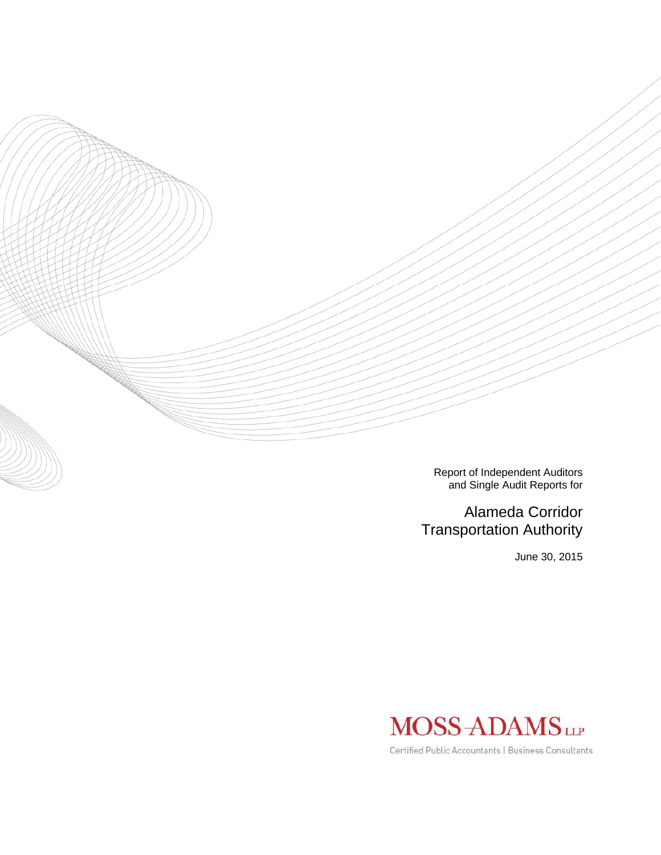

Report of Independent Auditors and Single Audit Reports for

# Alameda Corridor Transportation Authority

June 30, 2015



Certified Public Accountants | Business Consultants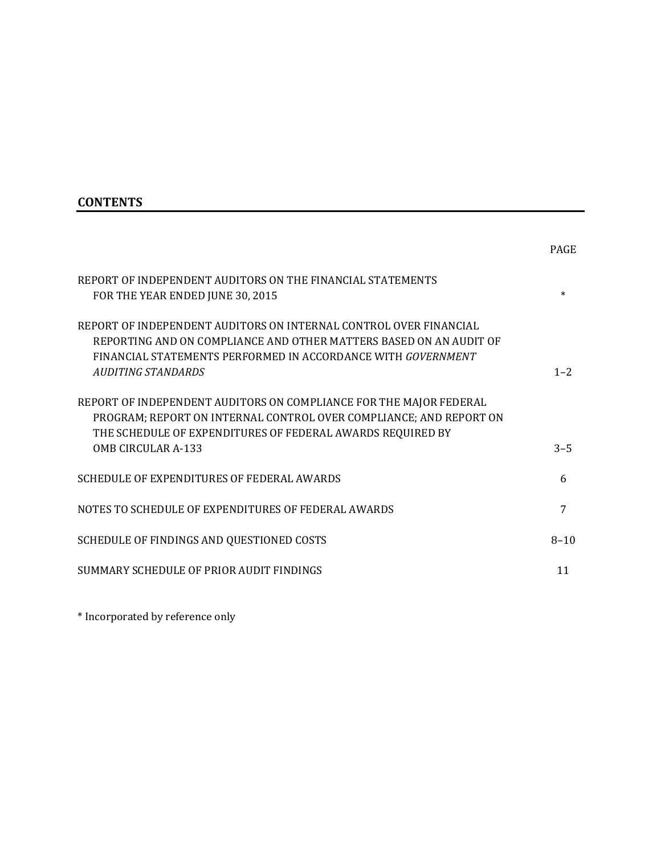# **CONTENTS**

|                                                                                                                                                                                                                               | <b>PAGE</b> |
|-------------------------------------------------------------------------------------------------------------------------------------------------------------------------------------------------------------------------------|-------------|
| REPORT OF INDEPENDENT AUDITORS ON THE FINANCIAL STATEMENTS<br>FOR THE YEAR ENDED JUNE 30, 2015                                                                                                                                | $\ast$      |
| REPORT OF INDEPENDENT AUDITORS ON INTERNAL CONTROL OVER FINANCIAL<br>REPORTING AND ON COMPLIANCE AND OTHER MATTERS BASED ON AN AUDIT OF<br>FINANCIAL STATEMENTS PERFORMED IN ACCORDANCE WITH GOVERNMENT<br>AUDITING STANDARDS | $1 - 2$     |
| REPORT OF INDEPENDENT AUDITORS ON COMPLIANCE FOR THE MAJOR FEDERAL<br>PROGRAM; REPORT ON INTERNAL CONTROL OVER COMPLIANCE; AND REPORT ON<br>THE SCHEDULE OF EXPENDITURES OF FEDERAL AWARDS REQUIRED BY<br>OMB CIRCULAR A-133  | $3 - 5$     |
| SCHEDULE OF EXPENDITURES OF FEDERAL AWARDS                                                                                                                                                                                    | 6           |
| NOTES TO SCHEDULE OF EXPENDITURES OF FEDERAL AWARDS                                                                                                                                                                           | 7           |
| SCHEDULE OF FINDINGS AND QUESTIONED COSTS                                                                                                                                                                                     | $8 - 10$    |
| SUMMARY SCHEDULE OF PRIOR AUDIT FINDINGS                                                                                                                                                                                      | 11          |

\* Incorporated by reference only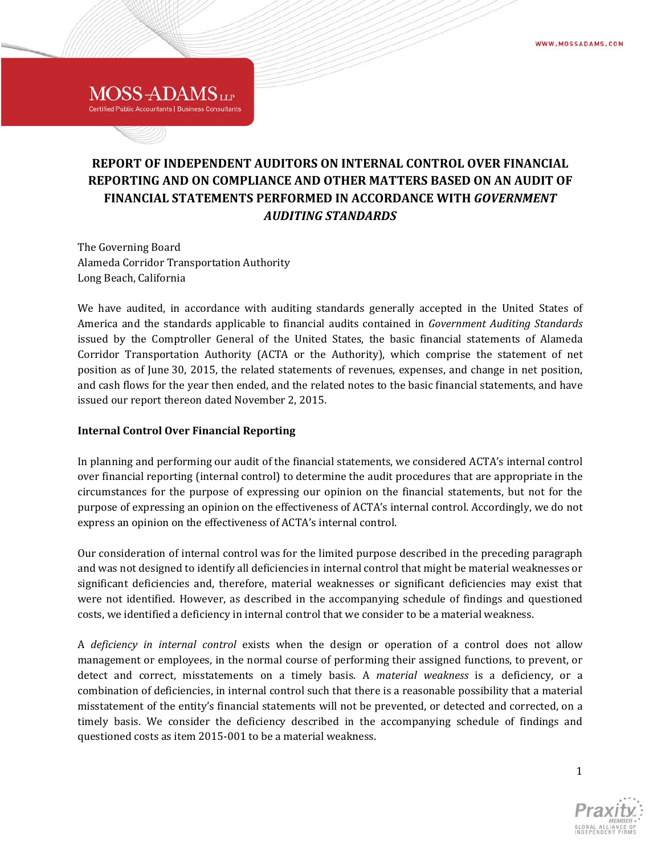# **REPORT OF INDEPENDENT AUDITORS ON INTERNAL CONTROL OVER FINANCIAL REPORTING AND ON COMPLIANCE AND OTHER MATTERS BASED ON AN AUDIT OF FINANCIAL STATEMENTS PERFORMED IN ACCORDANCE WITH** *GOVERNMENT AUDITING STANDARDS*

The Governing Board Alameda Corridor Transportation Authority Long Beach, California

MOSS-ADAMS<sub>LLP</sub> **Certified Public Accountants | Business Consultants** 

We have audited, in accordance with auditing standards generally accepted in the United States of America and the standards applicable to financial audits contained in *Government Auditing Standards* issued by the Comptroller General of the United States, the basic financial statements of Alameda Corridor Transportation Authority (ACTA or the Authority), which comprise the statement of net position as of June 30, 2015, the related statements of revenues, expenses, and change in net position, and cash flows for the year then ended, and the related notes to the basic financial statements, and have issued our report thereon dated November 2, 2015.

## **Internal Control Over Financial Reporting**

In planning and performing our audit of the financial statements, we considered ACTA's internal control over financial reporting (internal control) to determine the audit procedures that are appropriate in the circumstances for the purpose of expressing our opinion on the financial statements, but not for the purpose of expressing an opinion on the effectiveness of ACTA's internal control. Accordingly, we do not express an opinion on the effectiveness of ACTA's internal control.

Our consideration of internal control was for the limited purpose described in the preceding paragraph and was not designed to identify all deficiencies in internal control that might be material weaknesses or significant deficiencies and, therefore, material weaknesses or significant deficiencies may exist that were not identified. However, as described in the accompanying schedule of findings and questioned costs, we identified a deficiency in internal control that we consider to be a material weakness.

A *deficiency in internal control* exists when the design or operation of a control does not allow management or employees, in the normal course of performing their assigned functions, to prevent, or detect and correct, misstatements on a timely basis. A *material weakness* is a deficiency, or a combination of deficiencies, in internal control such that there is a reasonable possibility that a material misstatement of the entity's financial statements will not be prevented, or detected and corrected, on a timely basis. We consider the deficiency described in the accompanying schedule of findings and questioned costs as item 2015-001 to be a material weakness.



1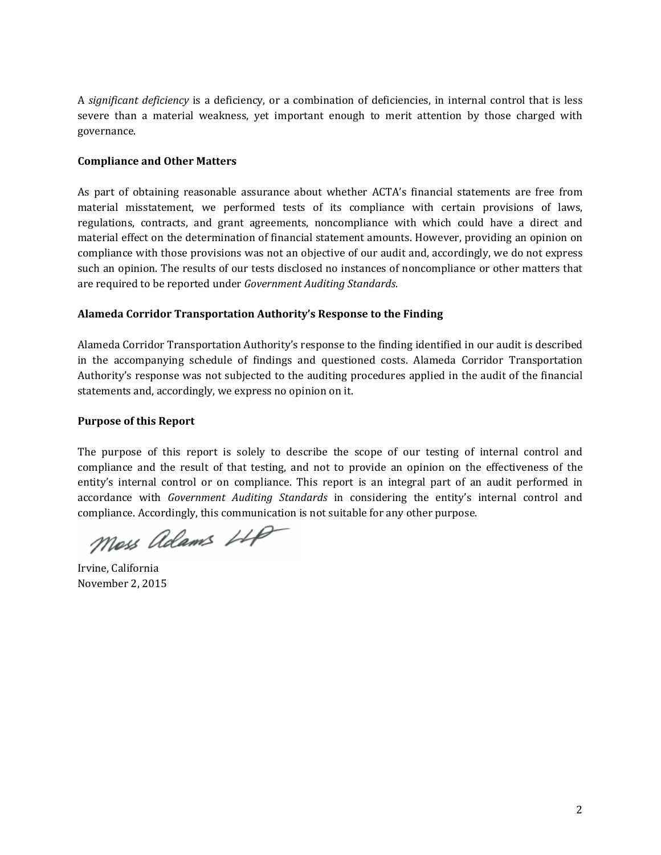A *significant deficiency* is a deficiency, or a combination of deficiencies, in internal control that is less severe than a material weakness, vet important enough to merit attention by those charged with governance. 

#### **Compliance and Other Matters**

As part of obtaining reasonable assurance about whether ACTA's financial statements are free from material misstatement, we performed tests of its compliance with certain provisions of laws, regulations, contracts, and grant agreements, noncompliance with which could have a direct and material effect on the determination of financial statement amounts. However, providing an opinion on compliance with those provisions was not an objective of our audit and, accordingly, we do not express such an opinion. The results of our tests disclosed no instances of noncompliance or other matters that are required to be reported under *Government Auditing Standards*.

## **Alameda Corridor Transportation Authority's Response to the Finding**

Alameda Corridor Transportation Authority's response to the finding identified in our audit is described in the accompanying schedule of findings and questioned costs. Alameda Corridor Transportation Authority's response was not subjected to the auditing procedures applied in the audit of the financial statements and, accordingly, we express no opinion on it.

## **Purpose of this Report**

The purpose of this report is solely to describe the scope of our testing of internal control and compliance and the result of that testing, and not to provide an opinion on the effectiveness of the entity's internal control or on compliance. This report is an integral part of an audit performed in accordance with *Government Auditing Standards* in considering the entity's internal control and compliance. Accordingly, this communication is not suitable for any other purpose.

Moss Adams LLP

Irvine, California November 2, 2015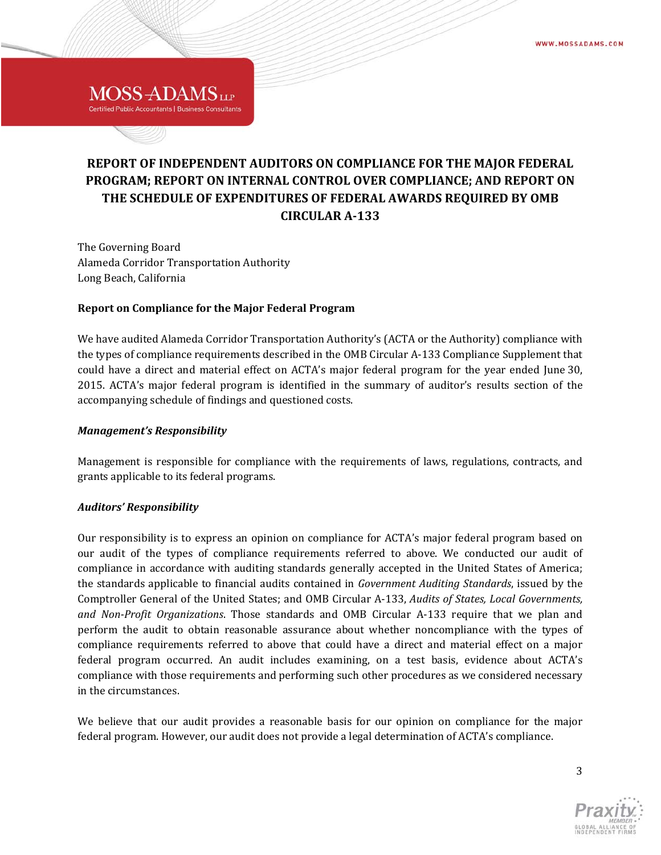# **REPORT OF INDEPENDENT AUDITORS ON COMPLIANCE FOR THE MAJOR FEDERAL PROGRAM; REPORT ON INTERNAL CONTROL OVER COMPLIANCE; AND REPORT ON THE SCHEDULE OF EXPENDITURES OF FEDERAL AWARDS REQUIRED BY OMB CIRCULAR A‐133**

The Governing Board Alameda Corridor Transportation Authority Long Beach, California

MOSS-ADAMS<sub>LLP</sub> **Certified Public Accountants | Business Consultants** 

## **Report on Compliance for the Major Federal Program**

We have audited Alameda Corridor Transportation Authority's (ACTA or the Authority) compliance with the types of compliance requirements described in the OMB Circular A-133 Compliance Supplement that could have a direct and material effect on ACTA's major federal program for the year ended June 30, 2015. ACTA's major federal program is identified in the summary of auditor's results section of the accompanying schedule of findings and questioned costs.

#### *Management's Responsibility*

Management is responsible for compliance with the requirements of laws, regulations, contracts, and grants applicable to its federal programs.

#### *Auditors' Responsibility*

Our responsibility is to express an opinion on compliance for ACTA's major federal program based on our audit of the types of compliance requirements referred to above. We conducted our audit of compliance in accordance with auditing standards generally accepted in the United States of America; the standards applicable to financial audits contained in *Government Auditing Standards*, issued by the Comptroller General of the United States; and OMB Circular A‐133, *Audits of States, Local Governments, and Non‐Profit Organizations*. Those standards and OMB Circular A‐133 require that we plan and perform the audit to obtain reasonable assurance about whether noncompliance with the types of compliance requirements referred to above that could have a direct and material effect on a major federal program occurred. An audit includes examining, on a test basis, evidence about ACTA's compliance with those requirements and performing such other procedures as we considered necessary in the circumstances.

We believe that our audit provides a reasonable basis for our opinion on compliance for the major federal program. However, our audit does not provide a legal determination of ACTA's compliance.

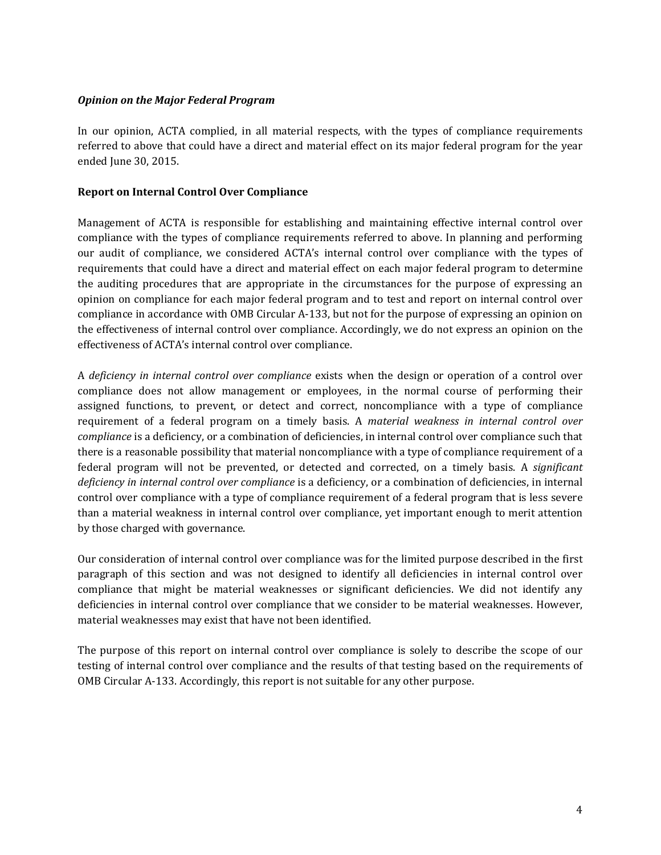#### *Opinion on the Major Federal Program*

In our opinion, ACTA complied, in all material respects, with the types of compliance requirements referred to above that could have a direct and material effect on its major federal program for the year ended June 30, 2015.

#### **Report on Internal Control Over Compliance**

Management of ACTA is responsible for establishing and maintaining effective internal control over compliance with the types of compliance requirements referred to above. In planning and performing our audit of compliance, we considered ACTA's internal control over compliance with the types of requirements that could have a direct and material effect on each major federal program to determine the auditing procedures that are appropriate in the circumstances for the purpose of expressing an opinion on compliance for each major federal program and to test and report on internal control over compliance in accordance with OMB Circular A-133, but not for the purpose of expressing an opinion on the effectiveness of internal control over compliance. Accordingly, we do not express an opinion on the effectiveness of ACTA's internal control over compliance.

A *deficiency in internal control over compliance* exists when the design or operation of a control over compliance does not allow management or employees, in the normal course of performing their assigned functions, to prevent, or detect and correct, noncompliance with a type of compliance requirement of a federal program on a timely basis. A *material weakness in internal control over compliance* is a deficiency, or a combination of deficiencies, in internal control over compliance such that there is a reasonable possibility that material noncompliance with a type of compliance requirement of a federal program will not be prevented, or detected and corrected, on a timely basis. A *significant deficiency in internal control over compliance* is a deficiency, or a combination of deficiencies, in internal control over compliance with a type of compliance requirement of a federal program that is less severe than a material weakness in internal control over compliance, yet important enough to merit attention by those charged with governance.

Our consideration of internal control over compliance was for the limited purpose described in the first paragraph of this section and was not designed to identify all deficiencies in internal control over compliance that might be material weaknesses or significant deficiencies. We did not identify any deficiencies in internal control over compliance that we consider to be material weaknesses. However, material weaknesses may exist that have not been identified.

The purpose of this report on internal control over compliance is solely to describe the scope of our testing of internal control over compliance and the results of that testing based on the requirements of OMB Circular A-133. Accordingly, this report is not suitable for any other purpose.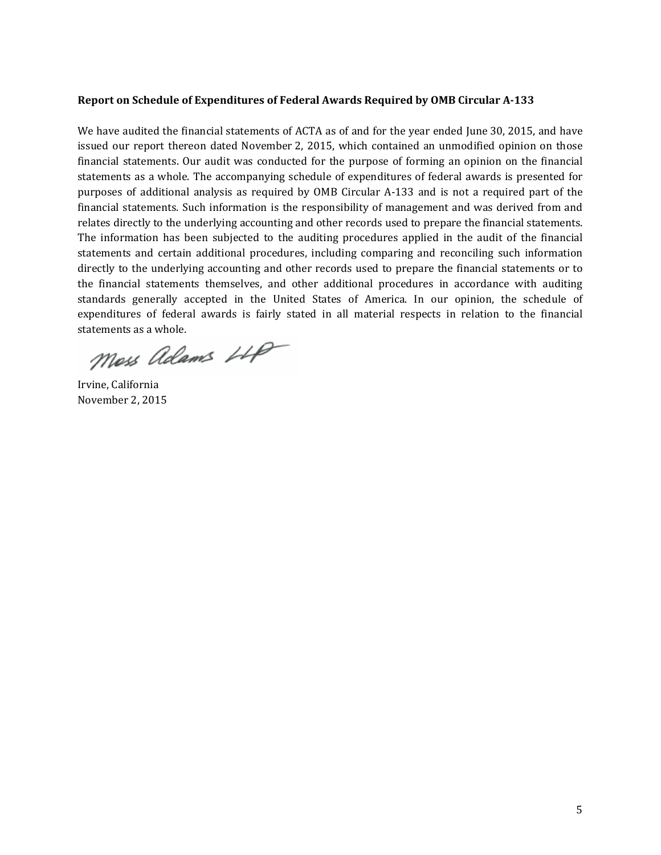#### **Report on Schedule of Expenditures of Federal Awards Required by OMB Circular A‐133**

We have audited the financial statements of ACTA as of and for the year ended June 30, 2015, and have issued our report thereon dated November 2, 2015, which contained an unmodified opinion on those financial statements. Our audit was conducted for the purpose of forming an opinion on the financial statements as a whole. The accompanying schedule of expenditures of federal awards is presented for purposes of additional analysis as required by OMB Circular A-133 and is not a required part of the financial statements. Such information is the responsibility of management and was derived from and relates directly to the underlying accounting and other records used to prepare the financial statements. The information has been subjected to the auditing procedures applied in the audit of the financial statements and certain additional procedures, including comparing and reconciling such information directly to the underlying accounting and other records used to prepare the financial statements or to the financial statements themselves, and other additional procedures in accordance with auditing standards generally accepted in the United States of America. In our opinion, the schedule of expenditures of federal awards is fairly stated in all material respects in relation to the financial statements as a whole.

Moss Adams LLP

Irvine, California November 2, 2015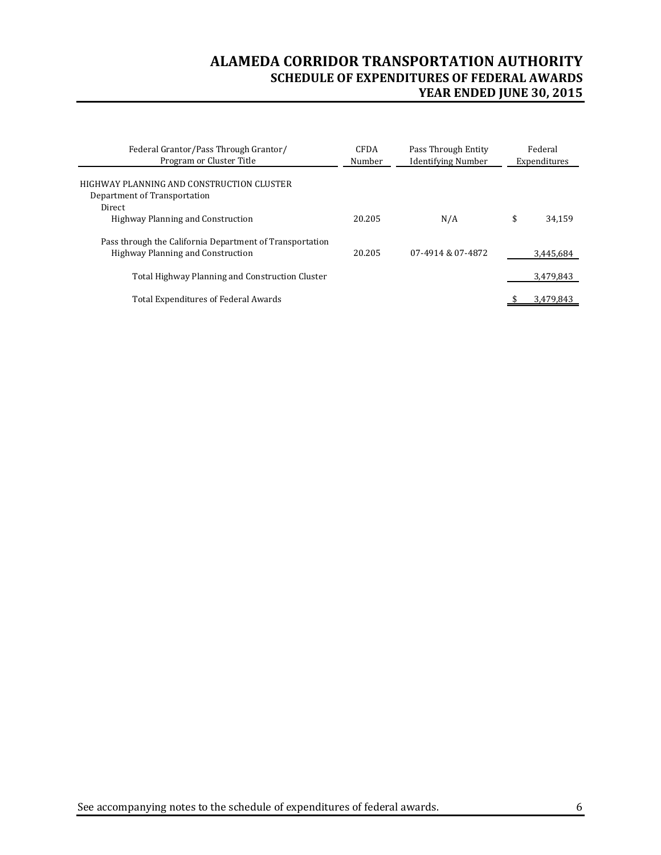# **ALAMEDA CORRIDOR TRANSPORTATION AUTHORITY SCHEDULE OF EXPENDITURES OF FEDERAL AWARDS YEAR ENDED JUNE 30, 2015**

| Federal Grantor/Pass Through Grantor/<br>Program or Cluster Title                             | <b>CFDA</b><br>Number | Pass Through Entity<br><b>Identifying Number</b> | Federal<br>Expenditures |  |
|-----------------------------------------------------------------------------------------------|-----------------------|--------------------------------------------------|-------------------------|--|
| HIGHWAY PLANNING AND CONSTRUCTION CLUSTER<br>Department of Transportation                     |                       |                                                  |                         |  |
| Direct<br>Highway Planning and Construction                                                   | 20.205                | N/A                                              | \$<br>34.159            |  |
| Pass through the California Department of Transportation<br>Highway Planning and Construction | 20.205                | 07-4914 & 07-4872                                | 3.445.684               |  |
| Total Highway Planning and Construction Cluster                                               |                       |                                                  | 3,479,843               |  |
| Total Expenditures of Federal Awards                                                          |                       |                                                  | 3.479.843               |  |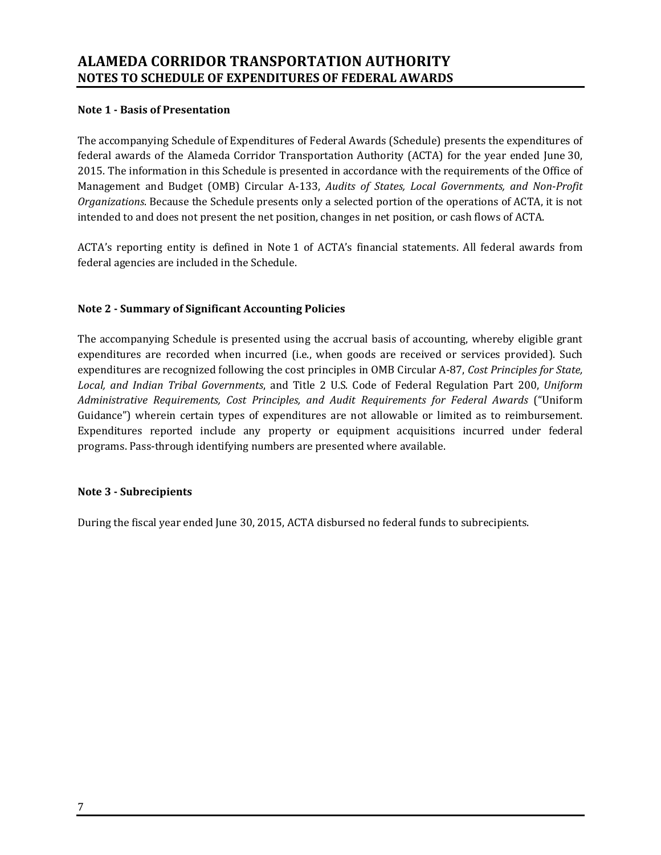## **Note 1 ‐ Basis of Presentation**

The accompanying Schedule of Expenditures of Federal Awards (Schedule) presents the expenditures of federal awards of the Alameda Corridor Transportation Authority (ACTA) for the year ended June 30, 2015. The information in this Schedule is presented in accordance with the requirements of the Office of Management and Budget (OMB) Circular A‐133, *Audits of States, Local Governments, and Non‐Profit Organizations*. Because the Schedule presents only a selected portion of the operations of ACTA, it is not intended to and does not present the net position, changes in net position, or cash flows of ACTA.

ACTA's reporting entity is defined in Note 1 of ACTA's financial statements. All federal awards from federal agencies are included in the Schedule.

## **Note 2 ‐ Summary of Significant Accounting Policies**

The accompanying Schedule is presented using the accrual basis of accounting, whereby eligible grant expenditures are recorded when incurred (i.e., when goods are received or services provided). Such expenditures are recognized following the cost principles in OMB Circular A-87, *Cost Principles for State*, Local, and *Indian Tribal Governments*, and Title 2 U.S. Code of Federal Regulation Part 200, *Uniform Administrative Requirements, Cost Principles, and Audit Requirements for Federal Awards* ("Uniform Guidance") wherein certain types of expenditures are not allowable or limited as to reimbursement. Expenditures reported include any property or equipment acquisitions incurred under federal programs. Pass-through identifying numbers are presented where available.

## **Note 3 ‐ Subrecipients**

During the fiscal year ended June 30, 2015, ACTA disbursed no federal funds to subrecipients.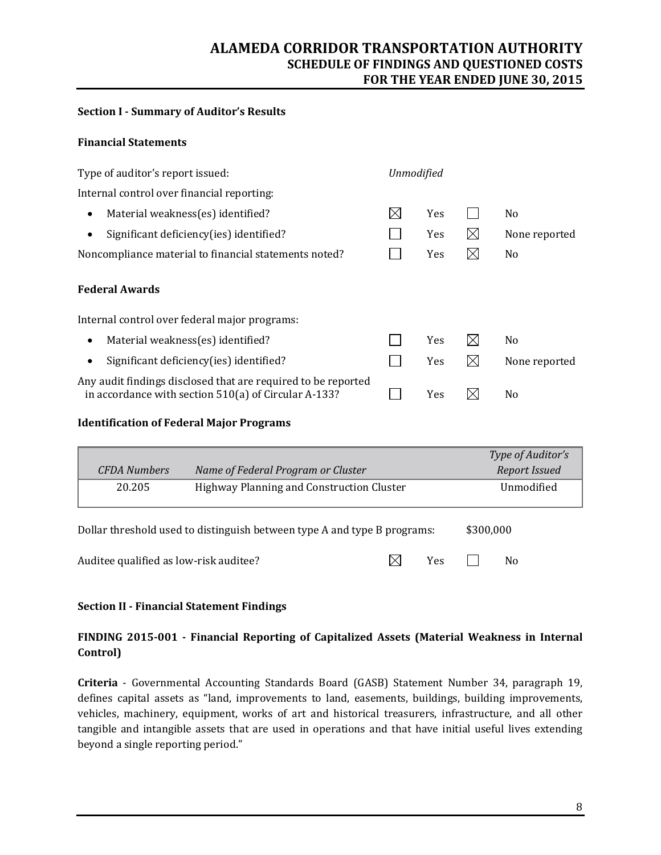## **ALAMEDA CORRIDOR TRANSPORTATION AUTHORITY SCHEDULE OF FINDINGS AND QUESTIONED COSTS FOR THE YEAR ENDED JUNE 30, 2015**

### **Section I ‐ Summary of Auditor's Results**

### **Financial Statements**

| Type of auditor's report issued:                                                                                      |   | <b>Unmodified</b> |             |                |
|-----------------------------------------------------------------------------------------------------------------------|---|-------------------|-------------|----------------|
| Internal control over financial reporting:                                                                            |   |                   |             |                |
| Material weakness(es) identified?<br>$\bullet$                                                                        | ⊠ | Yes               |             | N <sub>0</sub> |
| Significant deficiency(ies) identified?                                                                               |   | <b>Yes</b>        | $\boxtimes$ | None reported  |
| Noncompliance material to financial statements noted?                                                                 |   | <b>Yes</b>        | $\boxtimes$ | N <sub>0</sub> |
| <b>Federal Awards</b>                                                                                                 |   |                   |             |                |
| Internal control over federal major programs:                                                                         |   |                   |             |                |
| Material weakness(es) identified?<br>$\bullet$                                                                        |   | <b>Yes</b>        | ⊠           | N <sub>0</sub> |
| Significant deficiency(ies) identified?                                                                               |   | Yes               | $\boxtimes$ | None reported  |
| Any audit findings disclosed that are required to be reported<br>in accordance with section 510(a) of Circular A-133? |   | Yes               | M           | N <sub>0</sub> |

## **Identification of Federal Major Programs**

|                                                                          |  |  |            |               | Type of Auditor's |  |
|--------------------------------------------------------------------------|--|--|------------|---------------|-------------------|--|
| <b>CFDA</b> Numbers<br>Name of Federal Program or Cluster                |  |  |            | Report Issued |                   |  |
| 20.205<br>Highway Planning and Construction Cluster                      |  |  | Unmodified |               |                   |  |
| Dollar threshold used to distinguish between type A and type B programs: |  |  |            | \$300,000     |                   |  |
| Auditee qualified as low-risk auditee?                                   |  |  | Yes        |               | No                |  |

#### **Section II ‐ Financial Statement Findings**

## **FINDING 2015‐001 ‐ Financial Reporting of Capitalized Assets (Material Weakness in Internal Control)**

**Criteria** - Governmental Accounting Standards Board (GASB) Statement Number 34, paragraph 19, defines capital assets as "land, improvements to land, easements, buildings, building improvements, vehicles, machinery, equipment, works of art and historical treasurers, infrastructure, and all other tangible and intangible assets that are used in operations and that have initial useful lives extending beyond a single reporting period."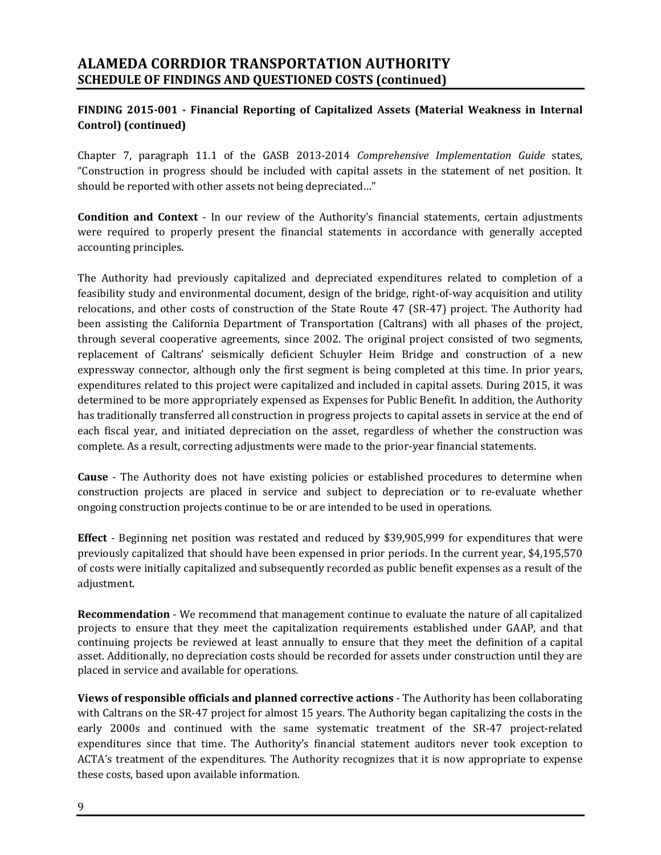# **ALAMEDA CORRDIOR TRANSPORTATION AUTHORITY SCHEDULE OF FINDINGS AND QUESTIONED COSTS (continued)**

## **FINDING 2015‐001 ‐ Financial Reporting of Capitalized Assets (Material Weakness in Internal Control) (continued)**

Chapter 7, paragraph 11.1 of the GASB 2013‐2014 *Comprehensive Implementation Guide* states, "Construction in progress should be included with capital assets in the statement of net position. It should be reported with other assets not being depreciated..."

**Condition and Context** - In our review of the Authority's financial statements, certain adjustments were required to properly present the financial statements in accordance with generally accepted accounting principles.

The Authority had previously capitalized and depreciated expenditures related to completion of a feasibility study and environmental document, design of the bridge, right-of-way acquisition and utility relocations, and other costs of construction of the State Route 47 (SR-47) project. The Authority had been assisting the California Department of Transportation (Caltrans) with all phases of the project, through several cooperative agreements, since 2002. The original project consisted of two segments, replacement of Caltrans' seismically deficient Schuyler Heim Bridge and construction of a new expressway connector, although only the first segment is being completed at this time. In prior years, expenditures related to this project were capitalized and included in capital assets. During 2015, it was determined to be more appropriately expensed as Expenses for Public Benefit. In addition, the Authority has traditionally transferred all construction in progress projects to capital assets in service at the end of each fiscal year, and initiated depreciation on the asset, regardless of whether the construction was complete. As a result, correcting adjustments were made to the prior-year financial statements.

**Cause** - The Authority does not have existing policies or established procedures to determine when construction projects are placed in service and subject to depreciation or to re-evaluate whether ongoing construction projects continue to be or are intended to be used in operations.

**Effect** - Beginning net position was restated and reduced by \$39,905,999 for expenditures that were previously capitalized that should have been expensed in prior periods. In the current year, \$4,195,570 of costs were initially capitalized and subsequently recorded as public benefit expenses as a result of the adjustment. 

**Recommendation** - We recommend that management continue to evaluate the nature of all capitalized projects to ensure that they meet the capitalization requirements established under GAAP, and that continuing projects be reviewed at least annually to ensure that they meet the definition of a capital asset. Additionally, no depreciation costs should be recorded for assets under construction until they are placed in service and available for operations.

**Views of responsible officials and planned corrective actions** ‐ The Authority has been collaborating with Caltrans on the SR-47 project for almost 15 years. The Authority began capitalizing the costs in the early 2000s and continued with the same systematic treatment of the SR-47 project-related expenditures since that time. The Authority's financial statement auditors never took exception to ACTA's treatment of the expenditures. The Authority recognizes that it is now appropriate to expense these costs, based upon available information.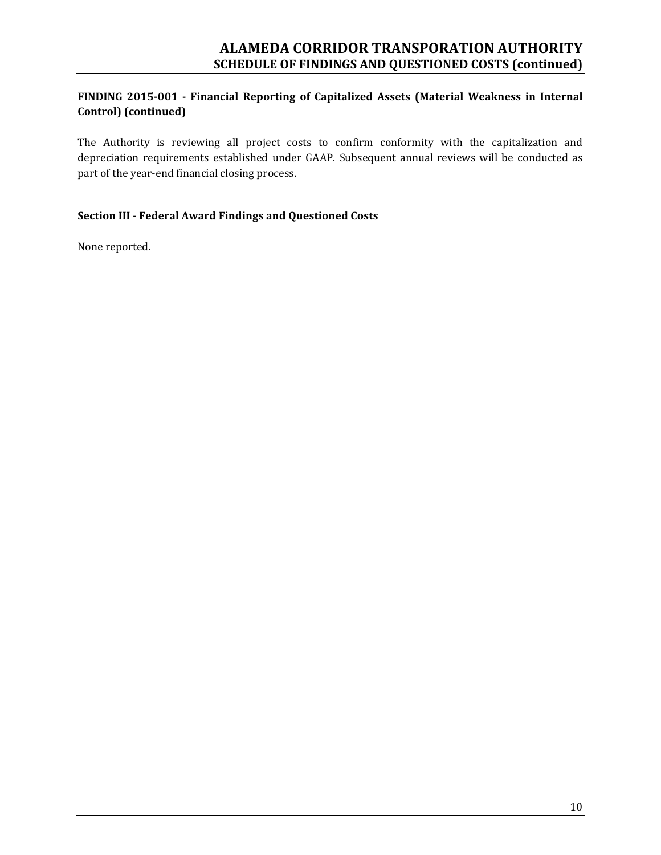## **FINDING 2015‐001 ‐ Financial Reporting of Capitalized Assets (Material Weakness in Internal Control) (continued)**

The Authority is reviewing all project costs to confirm conformity with the capitalization and depreciation requirements established under GAAP. Subsequent annual reviews will be conducted as part of the year-end financial closing process.

## **Section III ‐ Federal Award Findings and Questioned Costs**

None reported.